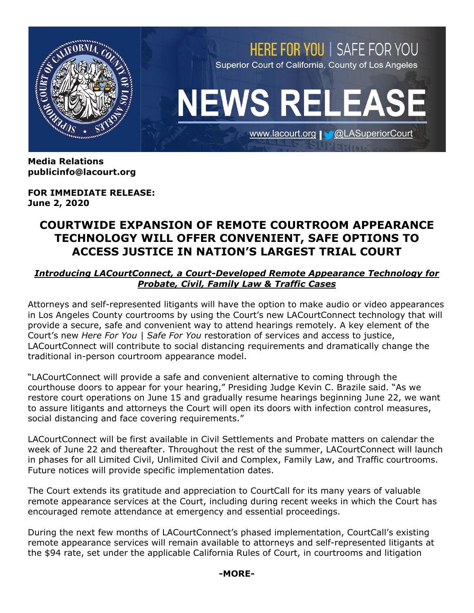

**Media Relations publicinfo@lacourt.org** 

**FOR IMMEDIATE RELEASE: June 2, 2020**

# **COURTWIDE EXPANSION OF REMOTE COURTROOM APPEARANCE TECHNOLOGY WILL OFFER CONVENIENT, SAFE OPTIONS TO ACCESS JUSTICE IN NATION'S LARGEST TRIAL COURT**

#### *Introducing LACourtConnect, a Court-Developed Remote Appearance Technology for Probate, Civil, Family Law & Traffic Cases*

Attorneys and self-represented litigants will have the option to make audio or video appearances in Los Angeles County courtrooms by using the Court's new LACourtConnect technology that will provide a secure, safe and convenient way to attend hearings remotely. A key element of the Court's new *Here For You | Safe For You* restoration of services and access to justice, LACourtConnect will contribute to social distancing requirements and dramatically change the traditional in-person courtroom appearance model.

"LACourtConnect will provide a safe and convenient alternative to coming through the courthouse doors to appear for your hearing," Presiding Judge Kevin C. Brazile said. "As we restore court operations on June 15 and gradually resume hearings beginning June 22, we want to assure litigants and attorneys the Court will open its doors with infection control measures, social distancing and face covering requirements."

LACourtConnect will be first available in Civil Settlements and Probate matters on calendar the week of June 22 and thereafter. Throughout the rest of the summer, LACourtConnect will launch in phases for all Limited Civil, Unlimited Civil and Complex, Family Law, and Traffic courtrooms. Future notices will provide specific implementation dates.

The Court extends its gratitude and appreciation to CourtCall for its many years of valuable remote appearance services at the Court, including during recent weeks in which the Court has encouraged remote attendance at emergency and essential proceedings.

During the next few months of LACourtConnect's phased implementation, CourtCall's existing remote appearance services will remain available to attorneys and self-represented litigants at the \$94 rate, set under the applicable California Rules of Court, in courtrooms and litigation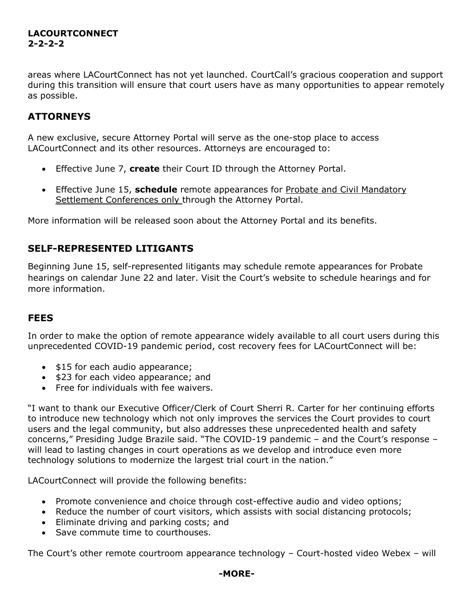## **LACOURTCONNECT 2-2-2-2**

areas where LACourtConnect has not yet launched. CourtCall's gracious cooperation and support during this transition will ensure that court users have as many opportunities to appear remotely as possible.

## **ATTORNEYS**

A new exclusive, secure Attorney Portal will serve as the one-stop place to access LACourtConnect and its other resources. Attorneys are encouraged to:

- Effective June 7, **create** their Court ID through the Attorney Portal.
- Effective June 15, **schedule** remote appearances for Probate and Civil Mandatory Settlement Conferences only through the Attorney Portal.

More information will be released soon about the Attorney Portal and its benefits.

## **SELF-REPRESENTED LITIGANTS**

Beginning June 15, self-represented litigants may schedule remote appearances for Probate hearings on calendar June 22 and later. Visit the Court's website to schedule hearings and for more information.

## **FEES**

In order to make the option of remote appearance widely available to all court users during this unprecedented COVID-19 pandemic period, cost recovery fees for LACourtConnect will be:

- \$15 for each audio appearance;
- \$23 for each video appearance; and
- Free for individuals with fee waivers.

"I want to thank our Executive Officer/Clerk of Court Sherri R. Carter for her continuing efforts to introduce new technology which not only improves the services the Court provides to court users and the legal community, but also addresses these unprecedented health and safety concerns," Presiding Judge Brazile said. "The COVID-19 pandemic – and the Court's response – will lead to lasting changes in court operations as we develop and introduce even more technology solutions to modernize the largest trial court in the nation."

LACourtConnect will provide the following benefits:

- Promote convenience and choice through cost-effective audio and video options;
- Reduce the number of court visitors, which assists with social distancing protocols;
- Eliminate driving and parking costs; and
- Save commute time to courthouses.

The Court's other remote courtroom appearance technology – Court-hosted video Webex – will